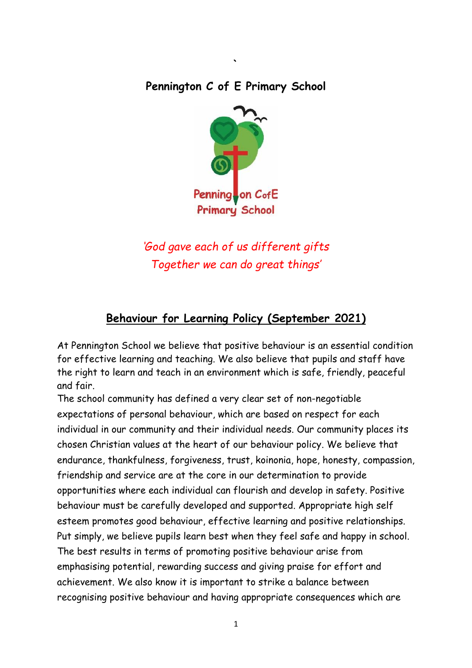## **Pennington C of E Primary School**

**`**



*'God gave each of us different gifts Together we can do great things'*

# **Behaviour for Learning Policy (September 2021)**

At Pennington School we believe that positive behaviour is an essential condition for effective learning and teaching. We also believe that pupils and staff have the right to learn and teach in an environment which is safe, friendly, peaceful and fair.

The school community has defined a very clear set of non-negotiable expectations of personal behaviour, which are based on respect for each individual in our community and their individual needs. Our community places its chosen Christian values at the heart of our behaviour policy. We believe that endurance, thankfulness, forgiveness, trust, koinonia, hope, honesty, compassion, friendship and service are at the core in our determination to provide opportunities where each individual can flourish and develop in safety. Positive behaviour must be carefully developed and supported. Appropriate high self esteem promotes good behaviour, effective learning and positive relationships. Put simply, we believe pupils learn best when they feel safe and happy in school. The best results in terms of promoting positive behaviour arise from emphasising potential, rewarding success and giving praise for effort and achievement. We also know it is important to strike a balance between recognising positive behaviour and having appropriate consequences which are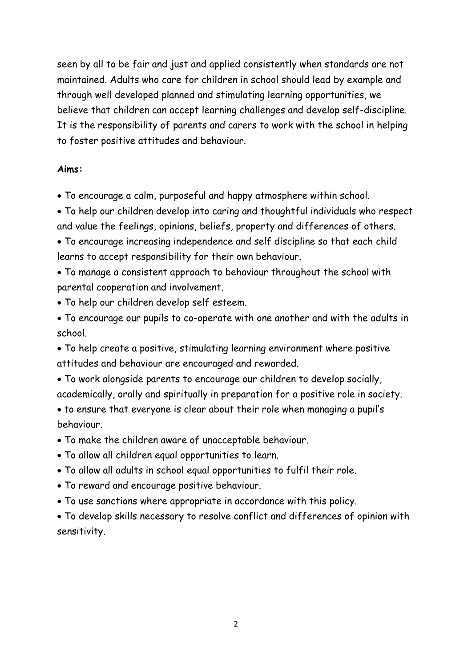seen by all to be fair and just and applied consistently when standards are not maintained. Adults who care for children in school should lead by example and through well developed planned and stimulating learning opportunities, we believe that children can accept learning challenges and develop self-discipline. It is the responsibility of parents and carers to work with the school in helping to foster positive attitudes and behaviour.

#### **Aims:**

• To encourage a calm, purposeful and happy atmosphere within school.

• To help our children develop into caring and thoughtful individuals who respect and value the feelings, opinions, beliefs, property and differences of others.

• To encourage increasing independence and self discipline so that each child learns to accept responsibility for their own behaviour.

• To manage a consistent approach to behaviour throughout the school with parental cooperation and involvement.

• To help our children develop self esteem.

• To encourage our pupils to co-operate with one another and with the adults in school.

• To help create a positive, stimulating learning environment where positive attitudes and behaviour are encouraged and rewarded.

• To work alongside parents to encourage our children to develop socially, academically, orally and spiritually in preparation for a positive role in society.

• to ensure that everyone is clear about their role when managing a pupil's behaviour.

• To make the children aware of unacceptable behaviour.

• To allow all children equal opportunities to learn.

• To allow all adults in school equal opportunities to fulfil their role.

• To reward and encourage positive behaviour.

• To use sanctions where appropriate in accordance with this policy.

• To develop skills necessary to resolve conflict and differences of opinion with sensitivity.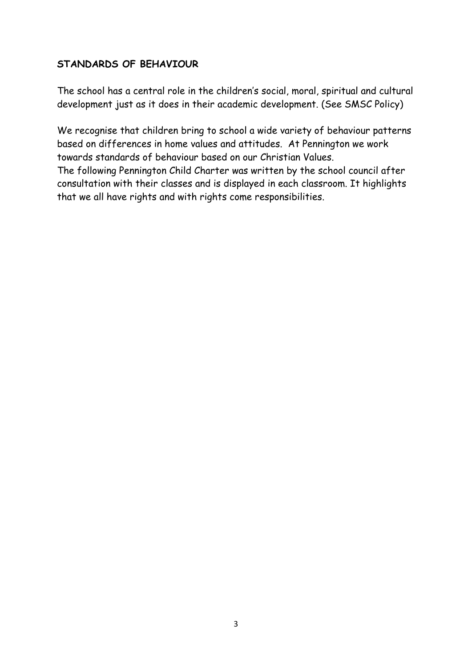#### **STANDARDS OF BEHAVIOUR**

The school has a central role in the children's social, moral, spiritual and cultural development just as it does in their academic development. (See SMSC Policy)

We recognise that children bring to school a wide variety of behaviour patterns based on differences in home values and attitudes. At Pennington we work towards standards of behaviour based on our Christian Values. The following Pennington Child Charter was written by the school council after consultation with their classes and is displayed in each classroom. It highlights that we all have rights and with rights come responsibilities.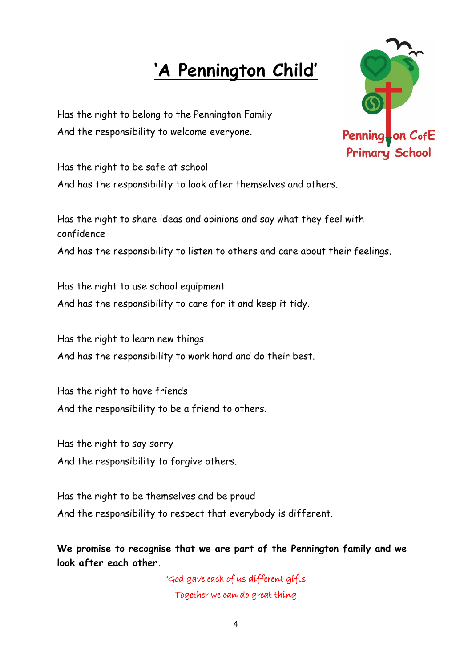# **'A Pennington Child'**

Has the right to belong to the Pennington Family And the responsibility to welcome everyone.



Has the right to be safe at school And has the responsibility to look after themselves and others.

Has the right to share ideas and opinions and say what they feel with confidence And has the responsibility to listen to others and care about their feelings.

Has the right to use school equipment And has the responsibility to care for it and keep it tidy.

Has the right to learn new things And has the responsibility to work hard and do their best.

Has the right to have friends And the responsibility to be a friend to others.

Has the right to say sorry And the responsibility to forgive others.

Has the right to be themselves and be proud And the responsibility to respect that everybody is different.

**We promise to recognise that we are part of the Pennington family and we look after each other.**

> 'God gave each of us different gifts Together we can do great thing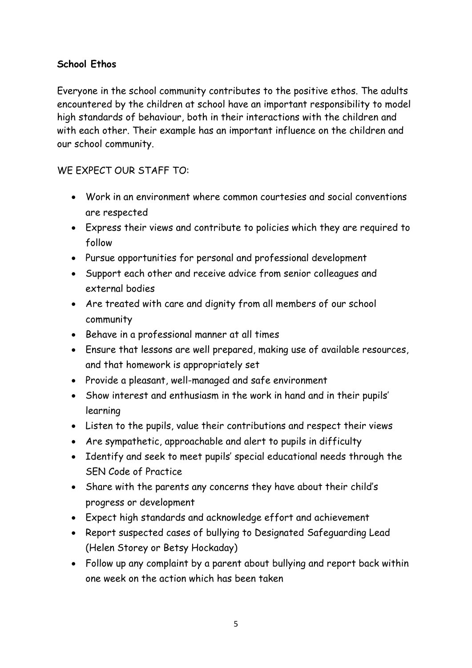#### **School Ethos**

Everyone in the school community contributes to the positive ethos. The adults encountered by the children at school have an important responsibility to model high standards of behaviour, both in their interactions with the children and with each other. Their example has an important influence on the children and our school community.

## WE EXPECT OUR STAFF TO:

- Work in an environment where common courtesies and social conventions are respected
- Express their views and contribute to policies which they are required to follow
- Pursue opportunities for personal and professional development
- Support each other and receive advice from senior colleagues and external bodies
- Are treated with care and dignity from all members of our school community
- Behave in a professional manner at all times
- Ensure that lessons are well prepared, making use of available resources, and that homework is appropriately set
- Provide a pleasant, well-managed and safe environment
- Show interest and enthusiasm in the work in hand and in their pupils' learning
- Listen to the pupils, value their contributions and respect their views
- Are sympathetic, approachable and alert to pupils in difficulty
- Identify and seek to meet pupils' special educational needs through the SEN Code of Practice
- Share with the parents any concerns they have about their child's progress or development
- Expect high standards and acknowledge effort and achievement
- Report suspected cases of bullying to Designated Safeguarding Lead (Helen Storey or Betsy Hockaday)
- Follow up any complaint by a parent about bullying and report back within one week on the action which has been taken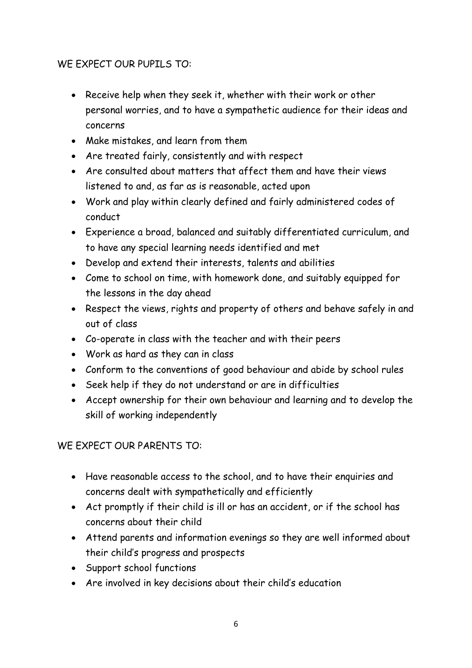#### WE EXPECT OUR PUPILS TO:

- Receive help when they seek it, whether with their work or other personal worries, and to have a sympathetic audience for their ideas and concerns
- Make mistakes, and learn from them
- Are treated fairly, consistently and with respect
- Are consulted about matters that affect them and have their views listened to and, as far as is reasonable, acted upon
- Work and play within clearly defined and fairly administered codes of conduct
- Experience a broad, balanced and suitably differentiated curriculum, and to have any special learning needs identified and met
- Develop and extend their interests, talents and abilities
- Come to school on time, with homework done, and suitably equipped for the lessons in the day ahead
- Respect the views, rights and property of others and behave safely in and out of class
- Co-operate in class with the teacher and with their peers
- Work as hard as they can in class
- Conform to the conventions of good behaviour and abide by school rules
- Seek help if they do not understand or are in difficulties
- Accept ownership for their own behaviour and learning and to develop the skill of working independently

## WE EXPECT OUR PARENTS TO:

- Have reasonable access to the school, and to have their enquiries and concerns dealt with sympathetically and efficiently
- Act promptly if their child is ill or has an accident, or if the school has concerns about their child
- Attend parents and information evenings so they are well informed about their child's progress and prospects
- Support school functions
- Are involved in key decisions about their child's education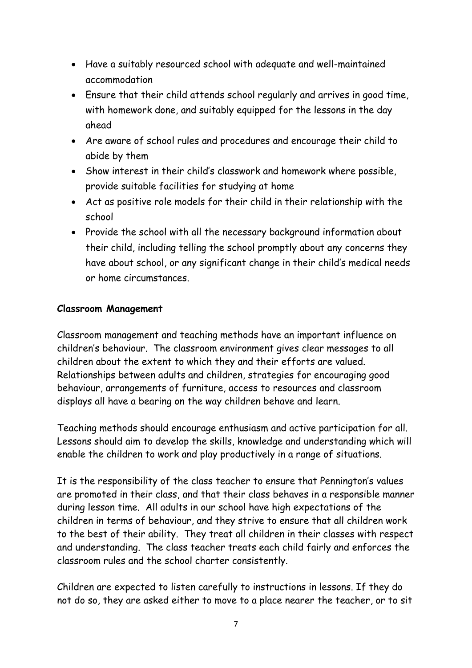- Have a suitably resourced school with adequate and well-maintained accommodation
- Ensure that their child attends school regularly and arrives in good time, with homework done, and suitably equipped for the lessons in the day ahead
- Are aware of school rules and procedures and encourage their child to abide by them
- Show interest in their child's classwork and homework where possible, provide suitable facilities for studying at home
- Act as positive role models for their child in their relationship with the school
- Provide the school with all the necessary background information about their child, including telling the school promptly about any concerns they have about school, or any significant change in their child's medical needs or home circumstances.

#### **Classroom Management**

Classroom management and teaching methods have an important influence on children's behaviour. The classroom environment gives clear messages to all children about the extent to which they and their efforts are valued. Relationships between adults and children, strategies for encouraging good behaviour, arrangements of furniture, access to resources and classroom displays all have a bearing on the way children behave and learn.

Teaching methods should encourage enthusiasm and active participation for all. Lessons should aim to develop the skills, knowledge and understanding which will enable the children to work and play productively in a range of situations.

It is the responsibility of the class teacher to ensure that Pennington's values are promoted in their class, and that their class behaves in a responsible manner during lesson time. All adults in our school have high expectations of the children in terms of behaviour, and they strive to ensure that all children work to the best of their ability. They treat all children in their classes with respect and understanding. The class teacher treats each child fairly and enforces the classroom rules and the school charter consistently.

Children are expected to listen carefully to instructions in lessons. If they do not do so, they are asked either to move to a place nearer the teacher, or to sit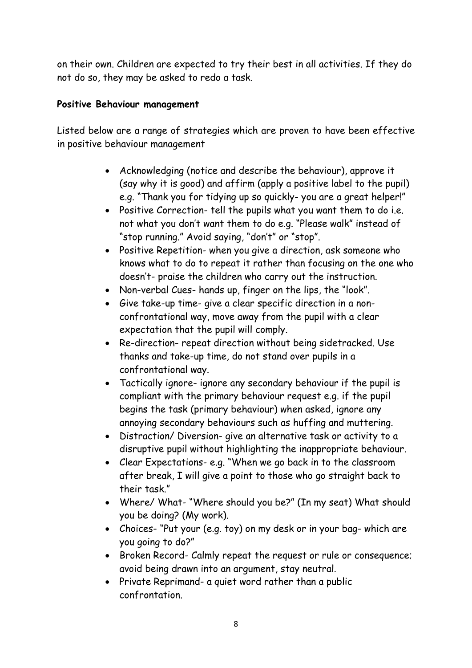on their own. Children are expected to try their best in all activities. If they do not do so, they may be asked to redo a task.

#### **Positive Behaviour management**

Listed below are a range of strategies which are proven to have been effective in positive behaviour management

- Acknowledging (notice and describe the behaviour), approve it (say why it is good) and affirm (apply a positive label to the pupil) e.g. "Thank you for tidying up so quickly- you are a great helper!"
- Positive Correction- tell the pupils what you want them to do i.e. not what you don't want them to do e.g. "Please walk" instead of "stop running." Avoid saying, "don't" or "stop".
- Positive Repetition- when you give a direction, ask someone who knows what to do to repeat it rather than focusing on the one who doesn't- praise the children who carry out the instruction.
- Non-verbal Cues- hands up, finger on the lips, the "look".
- Give take-up time- give a clear specific direction in a nonconfrontational way, move away from the pupil with a clear expectation that the pupil will comply.
- Re-direction- repeat direction without being sidetracked. Use thanks and take-up time, do not stand over pupils in a confrontational way.
- Tactically ignore- ignore any secondary behaviour if the pupil is compliant with the primary behaviour request e.g. if the pupil begins the task (primary behaviour) when asked, ignore any annoying secondary behaviours such as huffing and muttering.
- Distraction/ Diversion- give an alternative task or activity to a disruptive pupil without highlighting the inappropriate behaviour.
- Clear Expectations- e.g. "When we go back in to the classroom after break, I will give a point to those who go straight back to their task."
- Where/ What- "Where should you be?" (In my seat) What should you be doing? (My work).
- Choices- "Put your (e.g. toy) on my desk or in your bag- which are you going to do?"
- Broken Record- Calmly repeat the request or rule or consequence; avoid being drawn into an argument, stay neutral.
- Private Reprimand- a quiet word rather than a public confrontation.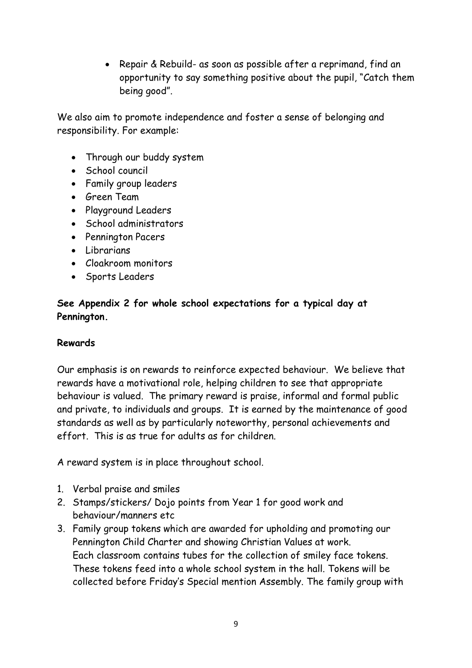• Repair & Rebuild- as soon as possible after a reprimand, find an opportunity to say something positive about the pupil, "Catch them being good".

We also aim to promote independence and foster a sense of belonging and responsibility. For example:

- Through our buddy system
- School council
- Family group leaders
- Green Team
- Playground Leaders
- School administrators
- Pennington Pacers
- Librarians
- Cloakroom monitors
- Sports Leaders

#### **See Appendix 2 for whole school expectations for a typical day at Pennington.**

#### **Rewards**

Our emphasis is on rewards to reinforce expected behaviour. We believe that rewards have a motivational role, helping children to see that appropriate behaviour is valued. The primary reward is praise, informal and formal public and private, to individuals and groups. It is earned by the maintenance of good standards as well as by particularly noteworthy, personal achievements and effort. This is as true for adults as for children.

A reward system is in place throughout school.

- 1. Verbal praise and smiles
- 2. Stamps/stickers/ Dojo points from Year 1 for good work and behaviour/manners etc
- 3. Family group tokens which are awarded for upholding and promoting our Pennington Child Charter and showing Christian Values at work. Each classroom contains tubes for the collection of smiley face tokens. These tokens feed into a whole school system in the hall. Tokens will be collected before Friday's Special mention Assembly. The family group with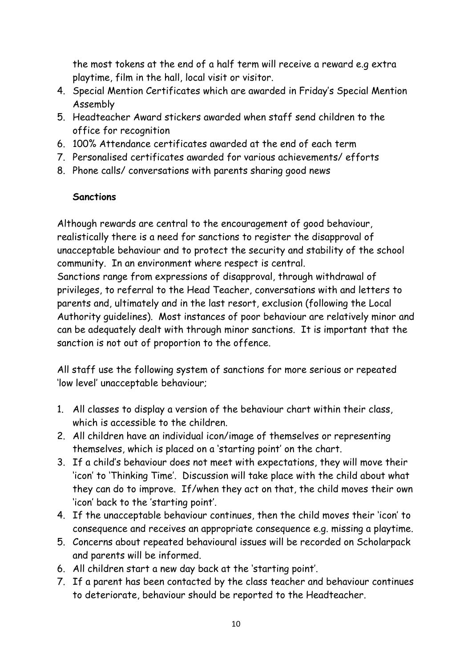the most tokens at the end of a half term will receive a reward e.g extra playtime, film in the hall, local visit or visitor.

- 4. Special Mention Certificates which are awarded in Friday's Special Mention Assembly
- 5. Headteacher Award stickers awarded when staff send children to the office for recognition
- 6. 100% Attendance certificates awarded at the end of each term
- 7. Personalised certificates awarded for various achievements/ efforts
- 8. Phone calls/ conversations with parents sharing good news

#### **Sanctions**

Although rewards are central to the encouragement of good behaviour, realistically there is a need for sanctions to register the disapproval of unacceptable behaviour and to protect the security and stability of the school community. In an environment where respect is central.

Sanctions range from expressions of disapproval, through withdrawal of privileges, to referral to the Head Teacher, conversations with and letters to parents and, ultimately and in the last resort, exclusion (following the Local Authority guidelines). Most instances of poor behaviour are relatively minor and can be adequately dealt with through minor sanctions. It is important that the sanction is not out of proportion to the offence.

All staff use the following system of sanctions for more serious or repeated 'low level' unacceptable behaviour;

- 1. All classes to display a version of the behaviour chart within their class, which is accessible to the children.
- 2. All children have an individual icon/image of themselves or representing themselves, which is placed on a 'starting point' on the chart.
- 3. If a child's behaviour does not meet with expectations, they will move their 'icon' to 'Thinking Time'. Discussion will take place with the child about what they can do to improve. If/when they act on that, the child moves their own 'icon' back to the 'starting point'.
- 4. If the unacceptable behaviour continues, then the child moves their 'icon' to consequence and receives an appropriate consequence e.g. missing a playtime.
- 5. Concerns about repeated behavioural issues will be recorded on Scholarpack and parents will be informed.
- 6. All children start a new day back at the 'starting point'.
- 7. If a parent has been contacted by the class teacher and behaviour continues to deteriorate, behaviour should be reported to the Headteacher.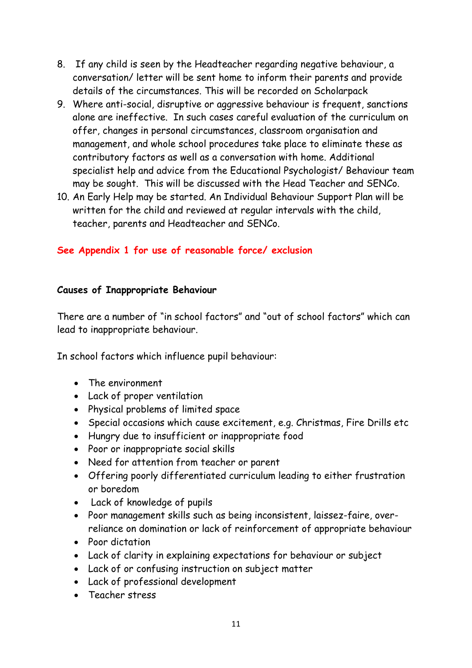- 8. If any child is seen by the Headteacher regarding negative behaviour, a conversation/ letter will be sent home to inform their parents and provide details of the circumstances. This will be recorded on Scholarpack
- 9. Where anti-social, disruptive or aggressive behaviour is frequent, sanctions alone are ineffective. In such cases careful evaluation of the curriculum on offer, changes in personal circumstances, classroom organisation and management, and whole school procedures take place to eliminate these as contributory factors as well as a conversation with home. Additional specialist help and advice from the Educational Psychologist/ Behaviour team may be sought. This will be discussed with the Head Teacher and SENCo.
- 10. An Early Help may be started. An Individual Behaviour Support Plan will be written for the child and reviewed at regular intervals with the child, teacher, parents and Headteacher and SENCo.

#### **See Appendix 1 for use of reasonable force/ exclusion**

#### **Causes of Inappropriate Behaviour**

There are a number of "in school factors" and "out of school factors" which can lead to inappropriate behaviour.

In school factors which influence pupil behaviour:

- The environment
- Lack of proper ventilation
- Physical problems of limited space
- Special occasions which cause excitement, e.g. Christmas, Fire Drills etc
- Hungry due to insufficient or inappropriate food
- Poor or inappropriate social skills
- Need for attention from teacher or parent
- Offering poorly differentiated curriculum leading to either frustration or boredom
- Lack of knowledge of pupils
- Poor management skills such as being inconsistent, laissez-faire, overreliance on domination or lack of reinforcement of appropriate behaviour
- Poor dictation
- Lack of clarity in explaining expectations for behaviour or subject
- Lack of or confusing instruction on subject matter
- Lack of professional development
- Teacher stress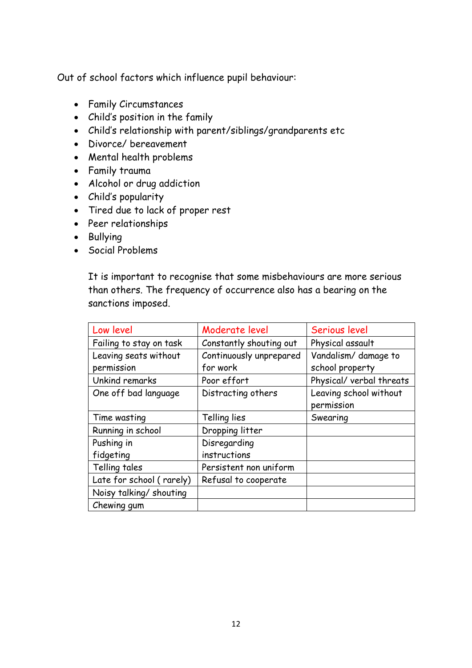Out of school factors which influence pupil behaviour:

- Family Circumstances
- Child's position in the family
- Child's relationship with parent/siblings/grandparents etc
- Divorce/ bereavement
- Mental health problems
- Family trauma
- Alcohol or drug addiction
- Child's popularity
- Tired due to lack of proper rest
- Peer relationships
- Bullying
- Social Problems

It is important to recognise that some misbehaviours are more serious than others. The frequency of occurrence also has a bearing on the sanctions imposed.

| Low level                | Moderate level          | Serious level            |
|--------------------------|-------------------------|--------------------------|
| Failing to stay on task  | Constantly shouting out | Physical assault         |
| Leaving seats without    | Continuously unprepared | Vandalism/ damage to     |
| permission               | for work                | school property          |
| Unkind remarks           | Poor effort             | Physical/ verbal threats |
| One off bad language     | Distracting others      | Leaving school without   |
|                          |                         | permission               |
| Time wasting             | Telling lies            | Swearing                 |
| Running in school        | Dropping litter         |                          |
| Pushing in               | Disregarding            |                          |
| fidgeting                | instructions            |                          |
| Telling tales            | Persistent non uniform  |                          |
| Late for school (rarely) | Refusal to cooperate    |                          |
| Noisy talking/ shouting  |                         |                          |
| Chewing gum              |                         |                          |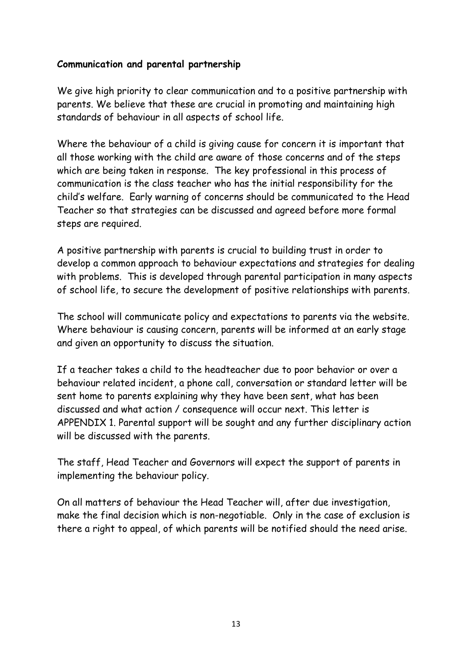#### **Communication and parental partnership**

We give high priority to clear communication and to a positive partnership with parents. We believe that these are crucial in promoting and maintaining high standards of behaviour in all aspects of school life.

Where the behaviour of a child is giving cause for concern it is important that all those working with the child are aware of those concerns and of the steps which are being taken in response. The key professional in this process of communication is the class teacher who has the initial responsibility for the child's welfare. Early warning of concerns should be communicated to the Head Teacher so that strategies can be discussed and agreed before more formal steps are required.

A positive partnership with parents is crucial to building trust in order to develop a common approach to behaviour expectations and strategies for dealing with problems. This is developed through parental participation in many aspects of school life, to secure the development of positive relationships with parents.

The school will communicate policy and expectations to parents via the website. Where behaviour is causing concern, parents will be informed at an early stage and given an opportunity to discuss the situation.

If a teacher takes a child to the headteacher due to poor behavior or over a behaviour related incident, a phone call, conversation or standard letter will be sent home to parents explaining why they have been sent, what has been discussed and what action / consequence will occur next. This letter is APPENDIX 1. Parental support will be sought and any further disciplinary action will be discussed with the parents.

The staff, Head Teacher and Governors will expect the support of parents in implementing the behaviour policy.

On all matters of behaviour the Head Teacher will, after due investigation, make the final decision which is non-negotiable. Only in the case of exclusion is there a right to appeal, of which parents will be notified should the need arise.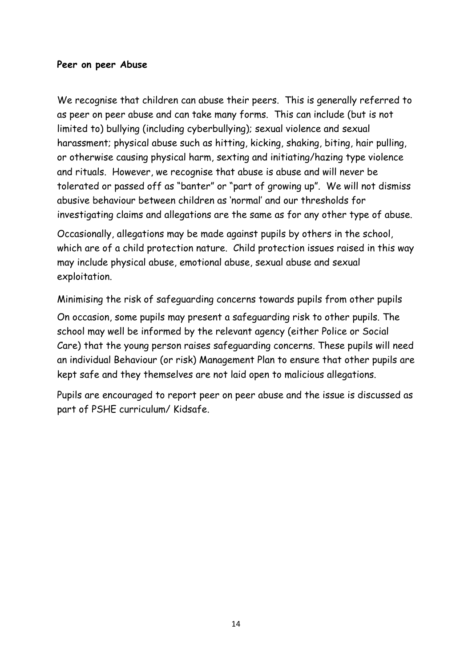#### **Peer on peer Abuse**

We recognise that children can abuse their peers. This is generally referred to as peer on peer abuse and can take many forms. This can include (but is not limited to) bullying (including cyberbullying); sexual violence and sexual harassment; physical abuse such as hitting, kicking, shaking, biting, hair pulling, or otherwise causing physical harm, sexting and initiating/hazing type violence and rituals. However, we recognise that abuse is abuse and will never be tolerated or passed off as "banter" or "part of growing up". We will not dismiss abusive behaviour between children as 'normal' and our thresholds for investigating claims and allegations are the same as for any other type of abuse.

Occasionally, allegations may be made against pupils by others in the school, which are of a child protection nature. Child protection issues raised in this way may include physical abuse, emotional abuse, sexual abuse and sexual exploitation.

Minimising the risk of safeguarding concerns towards pupils from other pupils

On occasion, some pupils may present a safeguarding risk to other pupils. The school may well be informed by the relevant agency (either Police or Social Care) that the young person raises safeguarding concerns. These pupils will need an individual Behaviour (or risk) Management Plan to ensure that other pupils are kept safe and they themselves are not laid open to malicious allegations.

Pupils are encouraged to report peer on peer abuse and the issue is discussed as part of PSHE curriculum/ Kidsafe.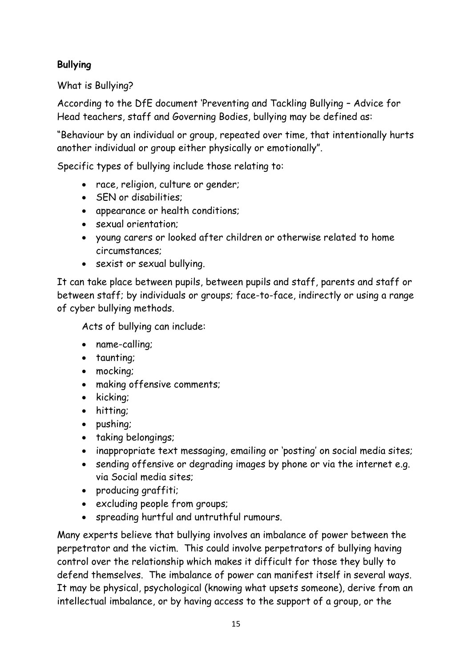## **Bullying**

What is Bullying?

According to the DfE document 'Preventing and Tackling Bullying – Advice for Head teachers, staff and Governing Bodies, bullying may be defined as:

"Behaviour by an individual or group, repeated over time, that intentionally hurts another individual or group either physically or emotionally".

Specific types of bullying include those relating to:

- race, religion, culture or gender;
- SEN or disabilities:
- appearance or health conditions;
- sexual orientation;
- young carers or looked after children or otherwise related to home circumstances;
- sexist or sexual bullying.

It can take place between pupils, between pupils and staff, parents and staff or between staff; by individuals or groups; face-to-face, indirectly or using a range of cyber bullying methods.

Acts of bullying can include:

- name-calling;
- taunting;
- mocking;
- making offensive comments;
- kicking;
- hitting;
- pushing;
- taking belongings;
- inappropriate text messaging, emailing or 'posting' on social media sites;
- sending offensive or degrading images by phone or via the internet e.g. via Social media sites;
- producing graffiti;
- excluding people from groups;
- spreading hurtful and untruthful rumours.

Many experts believe that bullying involves an imbalance of power between the perpetrator and the victim. This could involve perpetrators of bullying having control over the relationship which makes it difficult for those they bully to defend themselves. The imbalance of power can manifest itself in several ways. It may be physical, psychological (knowing what upsets someone), derive from an intellectual imbalance, or by having access to the support of a group, or the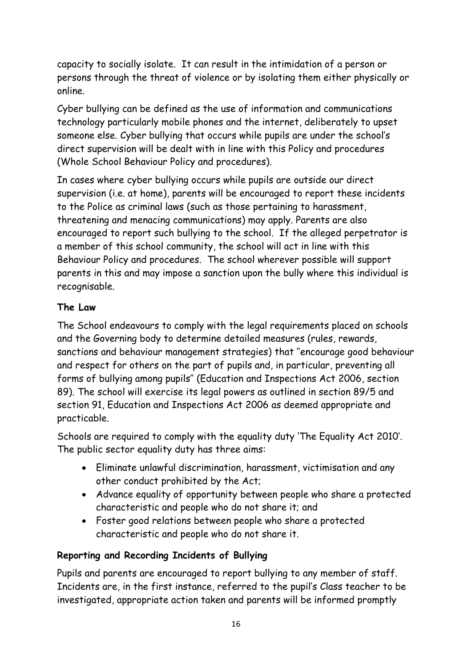capacity to socially isolate. It can result in the intimidation of a person or persons through the threat of violence or by isolating them either physically or online.

Cyber bullying can be defined as the use of information and communications technology particularly mobile phones and the internet, deliberately to upset someone else. Cyber bullying that occurs while pupils are under the school's direct supervision will be dealt with in line with this Policy and procedures (Whole School Behaviour Policy and procedures).

In cases where cyber bullying occurs while pupils are outside our direct supervision (i.e. at home), parents will be encouraged to report these incidents to the Police as criminal laws (such as those pertaining to harassment, threatening and menacing communications) may apply. Parents are also encouraged to report such bullying to the school. If the alleged perpetrator is a member of this school community, the school will act in line with this Behaviour Policy and procedures. The school wherever possible will support parents in this and may impose a sanction upon the bully where this individual is recognisable.

## **The Law**

The School endeavours to comply with the legal requirements placed on schools and the Governing body to determine detailed measures (rules, rewards, sanctions and behaviour management strategies) that ''encourage good behaviour and respect for others on the part of pupils and, in particular, preventing all forms of bullying among pupils'' (Education and Inspections Act 2006, section 89). The school will exercise its legal powers as outlined in section 89/5 and section 91, Education and Inspections Act 2006 as deemed appropriate and practicable.

Schools are required to comply with the equality duty 'The Equality Act 2010'. The public sector equality duty has three aims:

- Eliminate unlawful discrimination, harassment, victimisation and any other conduct prohibited by the Act;
- Advance equality of opportunity between people who share a protected characteristic and people who do not share it; and
- Foster good relations between people who share a protected characteristic and people who do not share it.

## **Reporting and Recording Incidents of Bullying**

Pupils and parents are encouraged to report bullying to any member of staff. Incidents are, in the first instance, referred to the pupil's Class teacher to be investigated, appropriate action taken and parents will be informed promptly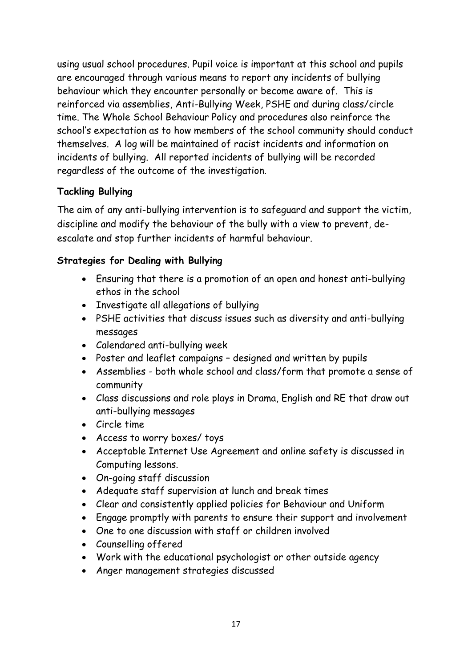using usual school procedures. Pupil voice is important at this school and pupils are encouraged through various means to report any incidents of bullying behaviour which they encounter personally or become aware of. This is reinforced via assemblies, Anti-Bullying Week, PSHE and during class/circle time. The Whole School Behaviour Policy and procedures also reinforce the school's expectation as to how members of the school community should conduct themselves. A log will be maintained of racist incidents and information on incidents of bullying. All reported incidents of bullying will be recorded regardless of the outcome of the investigation.

#### **Tackling Bullying**

The aim of any anti-bullying intervention is to safeguard and support the victim, discipline and modify the behaviour of the bully with a view to prevent, deescalate and stop further incidents of harmful behaviour.

## **Strategies for Dealing with Bullying**

- Ensuring that there is a promotion of an open and honest anti-bullying ethos in the school
- Investigate all allegations of bullying
- PSHE activities that discuss issues such as diversity and anti-bullying messages
- Calendared anti-bullying week
- Poster and leaflet campaigns designed and written by pupils
- Assemblies both whole school and class/form that promote a sense of community
- Class discussions and role plays in Drama, English and RE that draw out anti-bullying messages
- Circle time
- Access to worry boxes/ toys
- Acceptable Internet Use Agreement and online safety is discussed in Computing lessons.
- On-going staff discussion
- Adequate staff supervision at lunch and break times
- Clear and consistently applied policies for Behaviour and Uniform
- Engage promptly with parents to ensure their support and involvement
- One to one discussion with staff or children involved
- Counselling offered
- Work with the educational psychologist or other outside agency
- Anger management strategies discussed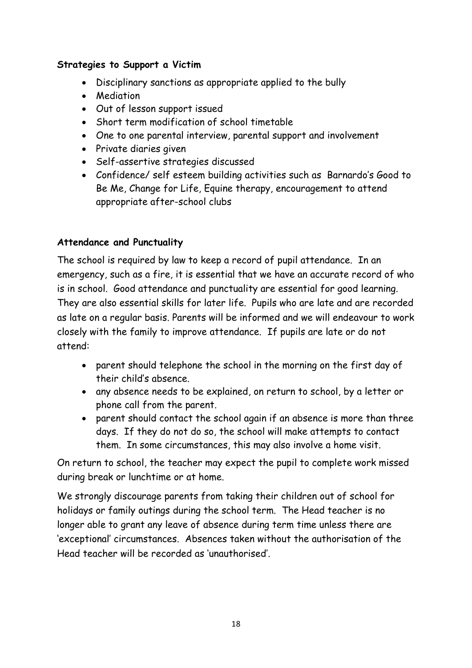#### **Strategies to Support a Victim**

- Disciplinary sanctions as appropriate applied to the bully
- Mediation
- Out of lesson support issued
- Short term modification of school timetable
- One to one parental interview, parental support and involvement
- Private diaries given
- Self-assertive strategies discussed
- Confidence/ self esteem building activities such as Barnardo's Good to Be Me, Change for Life, Equine therapy, encouragement to attend appropriate after-school clubs

#### **Attendance and Punctuality**

The school is required by law to keep a record of pupil attendance. In an emergency, such as a fire, it is essential that we have an accurate record of who is in school. Good attendance and punctuality are essential for good learning. They are also essential skills for later life. Pupils who are late and are recorded as late on a regular basis. Parents will be informed and we will endeavour to work closely with the family to improve attendance. If pupils are late or do not attend:

- parent should telephone the school in the morning on the first day of their child's absence.
- any absence needs to be explained, on return to school, by a letter or phone call from the parent.
- parent should contact the school again if an absence is more than three days. If they do not do so, the school will make attempts to contact them. In some circumstances, this may also involve a home visit.

On return to school, the teacher may expect the pupil to complete work missed during break or lunchtime or at home.

We strongly discourage parents from taking their children out of school for holidays or family outings during the school term. The Head teacher is no longer able to grant any leave of absence during term time unless there are 'exceptional' circumstances. Absences taken without the authorisation of the Head teacher will be recorded as 'unauthorised'.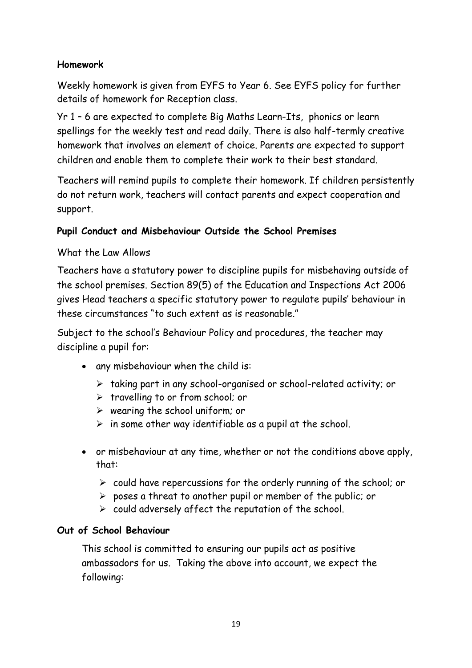#### **Homework**

Weekly homework is given from EYFS to Year 6. See EYFS policy for further details of homework for Reception class.

Yr 1 – 6 are expected to complete Big Maths Learn-Its, phonics or learn spellings for the weekly test and read daily. There is also half-termly creative homework that involves an element of choice. Parents are expected to support children and enable them to complete their work to their best standard.

Teachers will remind pupils to complete their homework. If children persistently do not return work, teachers will contact parents and expect cooperation and support.

#### **Pupil Conduct and Misbehaviour Outside the School Premises**

#### What the Law Allows

Teachers have a statutory power to discipline pupils for misbehaving outside of the school premises. Section 89(5) of the Education and Inspections Act 2006 gives Head teachers a specific statutory power to regulate pupils' behaviour in these circumstances "to such extent as is reasonable."

Subject to the school's Behaviour Policy and procedures, the teacher may discipline a pupil for:

- any misbehaviour when the child is:
	- ➢ taking part in any school-organised or school-related activity; or
	- ➢ travelling to or from school; or
	- $\triangleright$  wearing the school uniform; or
	- $\triangleright$  in some other way identifiable as a pupil at the school.
- or misbehaviour at any time, whether or not the conditions above apply, that:
	- ➢ could have repercussions for the orderly running of the school; or
	- $\triangleright$  poses a threat to another pupil or member of the public; or
	- $\triangleright$  could adversely affect the reputation of the school.

#### **Out of School Behaviour**

This school is committed to ensuring our pupils act as positive ambassadors for us. Taking the above into account, we expect the following: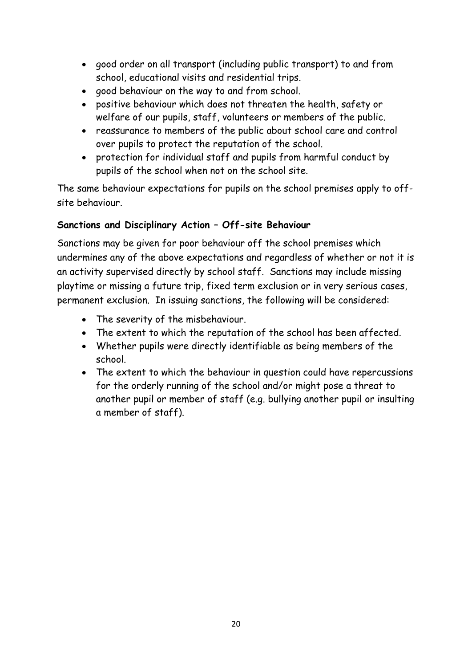- good order on all transport (including public transport) to and from school, educational visits and residential trips.
- good behaviour on the way to and from school.
- positive behaviour which does not threaten the health, safety or welfare of our pupils, staff, volunteers or members of the public.
- reassurance to members of the public about school care and control over pupils to protect the reputation of the school.
- protection for individual staff and pupils from harmful conduct by pupils of the school when not on the school site.

The same behaviour expectations for pupils on the school premises apply to offsite behaviour.

#### **Sanctions and Disciplinary Action – Off-site Behaviour**

Sanctions may be given for poor behaviour off the school premises which undermines any of the above expectations and regardless of whether or not it is an activity supervised directly by school staff. Sanctions may include missing playtime or missing a future trip, fixed term exclusion or in very serious cases, permanent exclusion. In issuing sanctions, the following will be considered:

- The severity of the misbehaviour.
- The extent to which the reputation of the school has been affected.
- Whether pupils were directly identifiable as being members of the school.
- The extent to which the behaviour in question could have repercussions for the orderly running of the school and/or might pose a threat to another pupil or member of staff (e.g. bullying another pupil or insulting a member of staff).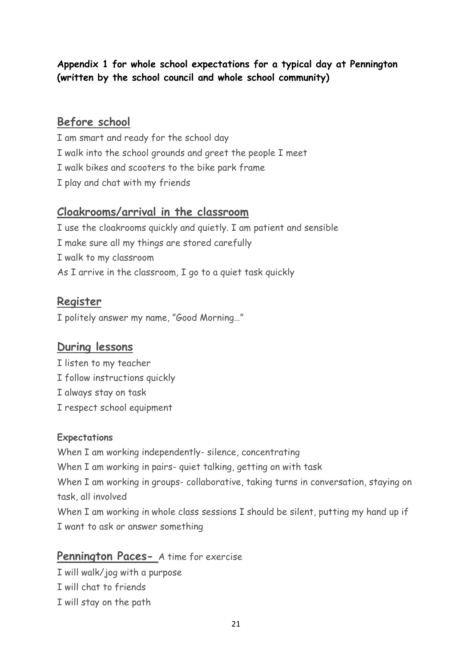## **Appendix 1 for whole school expectations for a typical day at Pennington (written by the school council and whole school community)**

## **Before school**

I am smart and ready for the school day I walk into the school grounds and greet the people I meet I walk bikes and scooters to the bike park frame I play and chat with my friends

## **Cloakrooms/arrival in the classroom**

I use the cloakrooms quickly and quietly. I am patient and sensible I make sure all my things are stored carefully I walk to my classroom As I arrive in the classroom, I go to a quiet task quickly

# **Register**

I politely answer my name, "Good Morning…"

## **During lessons**

I listen to my teacher I follow instructions quickly I always stay on task I respect school equipment

#### **Expectations**

When I am working independently- silence, concentrating When I am working in pairs- quiet talking, getting on with task When I am working in groups- collaborative, taking turns in conversation, staying on task, all involved When I am working in whole class sessions I should be silent, putting my hand up if I want to ask or answer something

## **Pennington Paces-** A time for exercise

I will walk/jog with a purpose I will chat to friends

I will stay on the path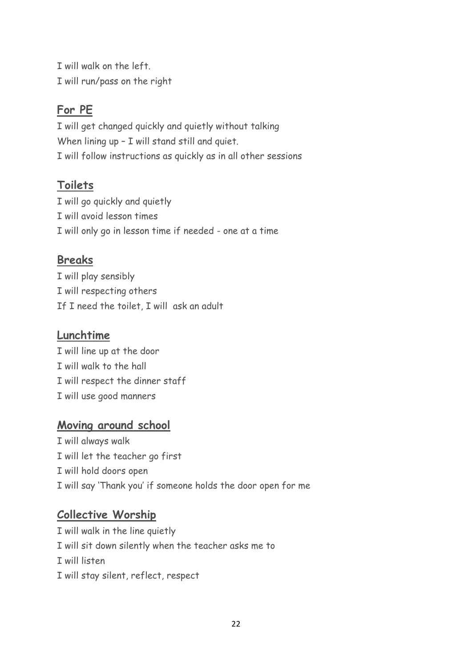I will walk on the left. I will run/pass on the right

# **For PE**

I will get changed quickly and quietly without talking When lining up - I will stand still and quiet. I will follow instructions as quickly as in all other sessions

# **Toilets**

I will go quickly and quietly I will avoid lesson times I will only go in lesson time if needed - one at a time

# **Breaks**

I will play sensibly I will respecting others If I need the toilet, I will ask an adult

# **Lunchtime**

I will line up at the door I will walk to the hall I will respect the dinner staff I will use good manners

## **Moving around school**

I will always walk I will let the teacher go first I will hold doors open I will say 'Thank you' if someone holds the door open for me

## **Collective Worship**

I will walk in the line quietly I will sit down silently when the teacher asks me to I will listen I will stay silent, reflect, respect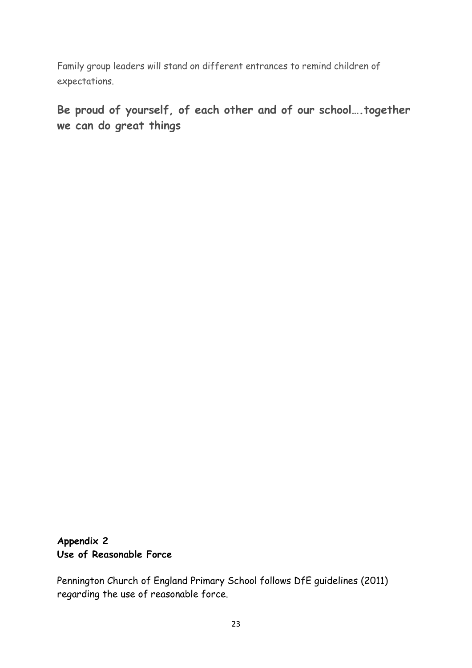Family group leaders will stand on different entrances to remind children of expectations.

**Be proud of yourself, of each other and of our school….together we can do great things**

#### **Appendix 2 Use of Reasonable Force**

Pennington Church of England Primary School follows DfE guidelines (2011) regarding the use of reasonable force.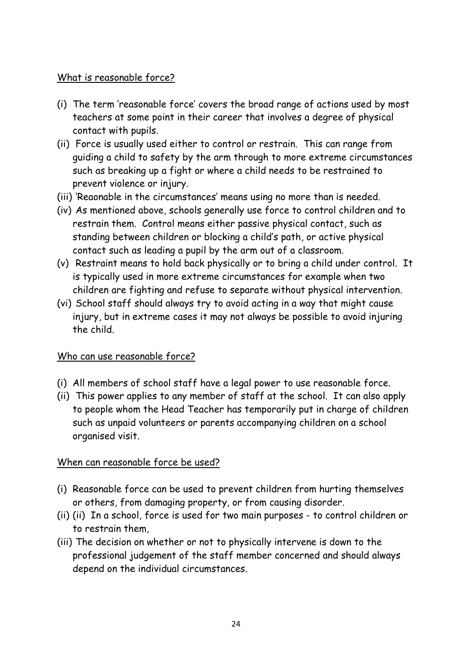#### What is reasonable force?

- (i) The term 'reasonable force' covers the broad range of actions used by most teachers at some point in their career that involves a degree of physical contact with pupils.
- (ii) Force is usually used either to control or restrain. This can range from guiding a child to safety by the arm through to more extreme circumstances such as breaking up a fight or where a child needs to be restrained to prevent violence or injury.
- (iii) 'Reaonable in the circumstances' means using no more than is needed.
- (iv) As mentioned above, schools generally use force to control children and to restrain them. Control means either passive physical contact, such as standing between children or blocking a child's path, or active physical contact such as leading a pupil by the arm out of a classroom.
- (v) Restraint means to hold back physically or to bring a child under control. It is typically used in more extreme circumstances for example when two children are fighting and refuse to separate without physical intervention.
- (vi) School staff should always try to avoid acting in a way that might cause injury, but in extreme cases it may not always be possible to avoid injuring the child.

#### Who can use reasonable force?

- (i) All members of school staff have a legal power to use reasonable force.
- (ii) This power applies to any member of staff at the school. It can also apply to people whom the Head Teacher has temporarily put in charge of children such as unpaid volunteers or parents accompanying children on a school organised visit.

#### When can reasonable force be used?

- (i) Reasonable force can be used to prevent children from hurting themselves or others, from damaging property, or from causing disorder.
- (ii) (ii) In a school, force is used for two main purposes to control children or to restrain them,
- (iii) The decision on whether or not to physically intervene is down to the professional judgement of the staff member concerned and should always depend on the individual circumstances.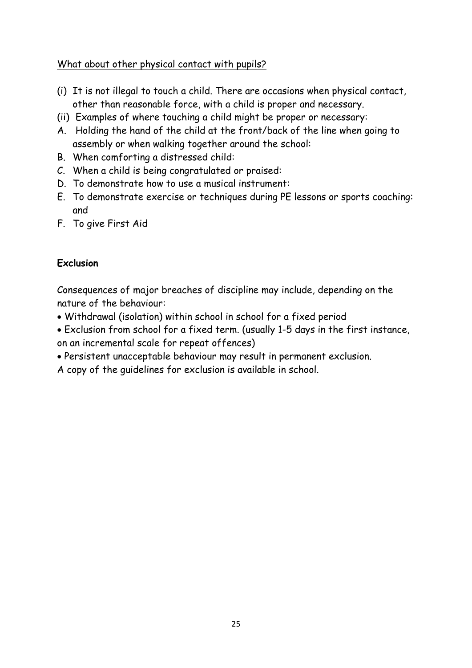What about other physical contact with pupils?

- (i) It is not illegal to touch a child. There are occasions when physical contact, other than reasonable force, with a child is proper and necessary.
- (ii) Examples of where touching a child might be proper or necessary:
- A. Holding the hand of the child at the front/back of the line when going to assembly or when walking together around the school:
- B. When comforting a distressed child:
- C. When a child is being congratulated or praised:
- D. To demonstrate how to use a musical instrument:
- E. To demonstrate exercise or techniques during PE lessons or sports coaching: and
- F. To give First Aid

## **Exclusion**

Consequences of major breaches of discipline may include, depending on the nature of the behaviour:

- Withdrawal (isolation) within school in school for a fixed period
- Exclusion from school for a fixed term. (usually 1-5 days in the first instance, on an incremental scale for repeat offences)
- Persistent unacceptable behaviour may result in permanent exclusion.
- A copy of the guidelines for exclusion is available in school.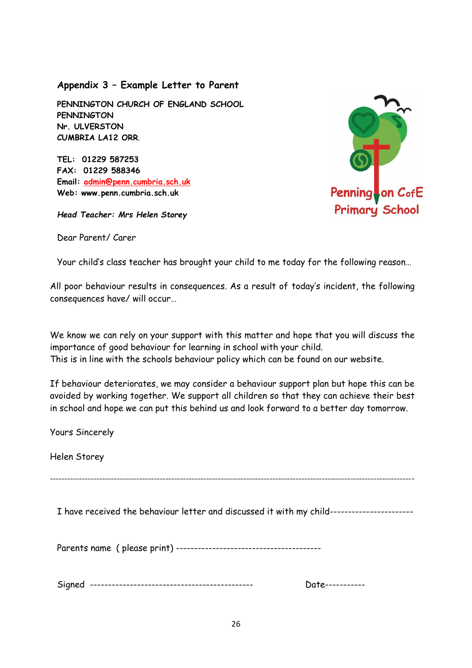**Appendix 3 – Example Letter to Parent**

**PENNINGTON CHURCH OF ENGLAND SCHOOL PENNINGTON Nr. ULVERSTON CUMBRIA LA12 ORR**.

**TEL: 01229 587253 FAX: 01229 588346 Email: [admin@penn.cumbria.sch.uk](mailto:admin@penn.cumbria.sch.uk) Web: www.penn.cumbria.sch.uk**

*Head Teacher: Mrs Helen Storey*

Dear Parent/ Carer



Your child's class teacher has brought your child to me today for the following reason…

All poor behaviour results in consequences. As a result of today's incident, the following consequences have/ will occur…

We know we can rely on your support with this matter and hope that you will discuss the importance of good behaviour for learning in school with your child. This is in line with the schools behaviour policy which can be found on our website.

If behaviour deteriorates, we may consider a behaviour support plan but hope this can be avoided by working together. We support all children so that they can achieve their best in school and hope we can put this behind us and look forward to a better day tomorrow.

Yours Sincerely

Helen Storey

------------------------------------------------------------------------------------------------------------------------------

I have received the behaviour letter and discussed it with my child-----------------------

Parents name ( please print) ----------------------------------------

Signed --------------------------------------------- Date-----------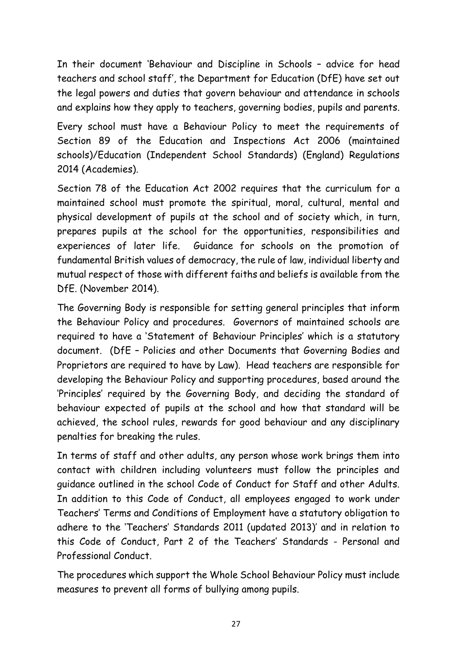In their document 'Behaviour and Discipline in Schools – advice for head teachers and school staff', the Department for Education (DfE) have set out the legal powers and duties that govern behaviour and attendance in schools and explains how they apply to teachers, governing bodies, pupils and parents.

Every school must have a Behaviour Policy to meet the requirements of Section 89 of the Education and Inspections Act 2006 (maintained schools)/Education (Independent School Standards) (England) Regulations 2014 (Academies).

Section 78 of the Education Act 2002 requires that the curriculum for a maintained school must promote the spiritual, moral, cultural, mental and physical development of pupils at the school and of society which, in turn, prepares pupils at the school for the opportunities, responsibilities and experiences of later life. Guidance for schools on the promotion of fundamental British values of democracy, the rule of law, individual liberty and mutual respect of those with different faiths and beliefs is available from the DfE. (November 2014).

The Governing Body is responsible for setting general principles that inform the Behaviour Policy and procedures. Governors of maintained schools are required to have a 'Statement of Behaviour Principles' which is a statutory document. (DfE – Policies and other Documents that Governing Bodies and Proprietors are required to have by Law). Head teachers are responsible for developing the Behaviour Policy and supporting procedures, based around the 'Principles' required by the Governing Body, and deciding the standard of behaviour expected of pupils at the school and how that standard will be achieved, the school rules, rewards for good behaviour and any disciplinary penalties for breaking the rules.

In terms of staff and other adults, any person whose work brings them into contact with children including volunteers must follow the principles and guidance outlined in the school Code of Conduct for Staff and other Adults. In addition to this Code of Conduct, all employees engaged to work under Teachers' Terms and Conditions of Employment have a statutory obligation to adhere to the 'Teachers' Standards 2011 (updated 2013)' and in relation to this Code of Conduct, Part 2 of the Teachers' Standards - Personal and Professional Conduct.

The procedures which support the Whole School Behaviour Policy must include measures to prevent all forms of bullying among pupils.